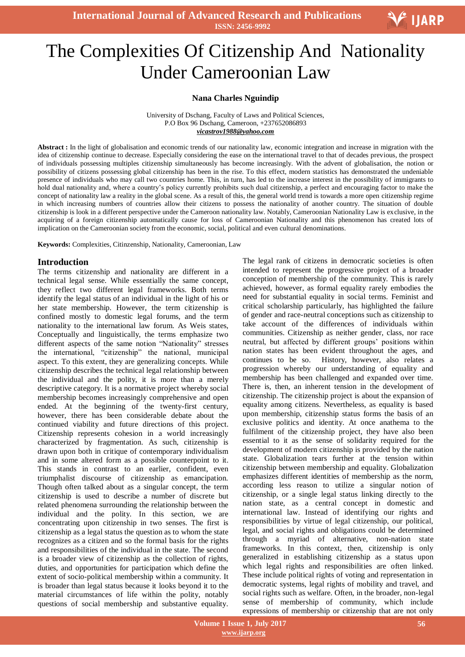**International Journal of Advanced Research and Publications ISSN: 2456-9992**

# Ξ The Complexities Of Citizenship And Nationality Under Cameroonian Law

## **Nana Charles Nguindip**

University of Dschang, Faculty of Laws and Political Sciences, P.O Box 96 Dschang, Cameroon, +237652086893 *vicastrov1988@yahoo.com*

**Abstract :** In the light of globalisation and economic trends of our nationality law, economic integration and increase in migration with the idea of citizenship continue to decrease. Especially considering the ease on the international travel to that of decades previous, the prospect of individuals possessing multiples citizenship simultaneously has become increasingly. With the advent of globalisation, the notion or possibility of citizens possessing global citizenship has been in the rise. To this effect, modern statistics has demonstrated the undeniable presence of individuals who may call two countries home. This, in turn, has led to the increase interest in the possibility of immigrants to hold dual nationality and, where a country"s policy currently prohibits such dual citizenship, a perfect and encouraging factor to make the concept of nationality law a reality in the global scene. As a result of this, the general world trend is towards a more open citizenship regime in which increasing numbers of countries allow their citizens to possess the nationality of another country. The situation of double citizenship is look in a different perspective under the Cameroon nationality law. Notably, Cameroonian Nationality Law is exclusive, in the acquiring of a foreign citizenship automatically cause for loss of Cameroonian Nationality and this phenomenon has created lots of implication on the Cameroonian society from the economic, social, political and even cultural denominations.

**Keywords:** Complexities, Citinzenship, Nationality, Cameroonian, Law

### **Introduction**

The terms citizenship and nationality are different in a technical legal sense. While essentially the same concept, they reflect two different legal frameworks. Both terms identify the legal status of an individual in the light of his or her state membership. However, the term citizenship is confined mostly to domestic legal forums, and the term nationality to the international law forum. As Weis states, Conceptually and linguistically, the terms emphasize two different aspects of the same notion "Nationality" stresses the international, "citizenship" the national, municipal aspect. To this extent, they are generalizing concepts. While citizenship describes the technical legal relationship between the individual and the polity, it is more than a merely descriptive category. It is a normative project whereby social membership becomes increasingly comprehensive and open ended. At the beginning of the twenty-first century, however, there has been considerable debate about the continued viability and future directions of this project. Citizenship represents cohesion in a world increasingly characterized by fragmentation. As such, citizenship is drawn upon both in critique of contemporary individualism and in some altered form as a possible counterpoint to it. This stands in contrast to an earlier, confident, even triumphalist discourse of citizenship as emancipation. Though often talked about as a singular concept, the term citizenship is used to describe a number of discrete but related phenomena surrounding the relationship between the individual and the polity. In this section, we are concentrating upon citizenship in two senses. The first is citizenship as a legal status the question as to whom the state recognizes as a citizen and so the formal basis for the rights and responsibilities of the individual in the state. The second is a broader view of citizenship as the collection of rights, duties, and opportunities for participation which define the extent of socio-political membership within a community. It is broader than legal status because it looks beyond it to the material circumstances of life within the polity, notably questions of social membership and substantive equality. The legal rank of citizens in democratic societies is often intended to represent the progressive project of a broader conception of membership of the community. This is rarely achieved, however, as formal equality rarely embodies the need for substantial equality in social terms. Feminist and critical scholarship particularly, has highlighted the failure of gender and race-neutral conceptions such as citizenship to take account of the differences of individuals within communities. Citizenship as neither gender, class, nor race neutral, but affected by different groups' positions within nation states has been evident throughout the ages, and continues to be so. History, however, also relates a progression whereby our understanding of equality and membership has been challenged and expanded over time. There is, then, an inherent tension in the development of citizenship. The citizenship project is about the expansion of equality among citizens. Nevertheless, as equality is based upon membership, citizenship status forms the basis of an exclusive politics and identity. At once anathema to the fulfilment of the citizenship project, they have also been essential to it as the sense of solidarity required for the development of modern citizenship is provided by the nation state. Globalization tears further at the tension within citizenship between membership and equality. Globalization emphasizes different identities of membership as the norm, according less reason to utilize a singular notion of citizenship, or a single legal status linking directly to the nation state, as a central concept in domestic and international law. Instead of identifying our rights and responsibilities by virtue of legal citizenship, our political, legal, and social rights and obligations could be determined through a myriad of alternative, non-nation state frameworks. In this context, then, citizenship is only generalized in establishing citizenship as a status upon which legal rights and responsibilities are often linked. These include political rights of voting and representation in democratic systems, legal rights of mobility and travel, and social rights such as welfare. Often, in the broader, non-legal sense of membership of community, which include expressions of membership or citizenship that are not only

**V** IJARP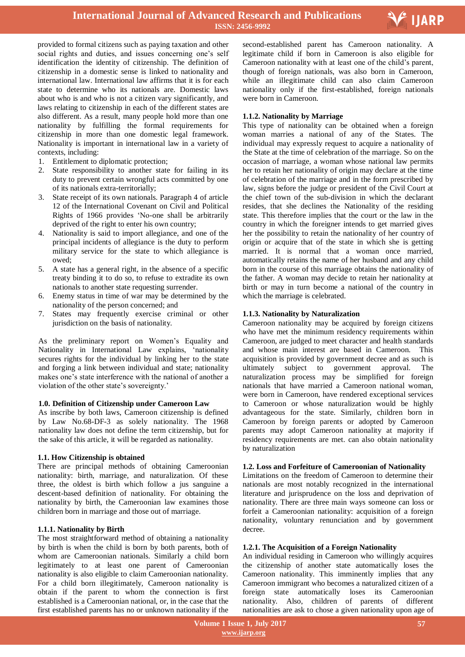

provided to formal citizens such as paying taxation and other social rights and duties, and issues concerning one's self identification the identity of citizenship. The definition of citizenship in a domestic sense is linked to nationality and international law. International law affirms that it is for each state to determine who its nationals are. Domestic laws about who is and who is not a citizen vary significantly, and laws relating to citizenship in each of the different states are also different. As a result, many people hold more than one nationality by fulfilling the formal requirements for citizenship in more than one domestic legal framework. Nationality is important in international law in a variety of contexts, including:

- 1. Entitlement to diplomatic protection;
- 2. State responsibility to another state for failing in its duty to prevent certain wrongful acts committed by one of its nationals extra-territorially;
- 3. State receipt of its own nationals. Paragraph 4 of article 12 of the International Covenant on Civil and Political Rights of 1966 provides "No-one shall be arbitrarily deprived of the right to enter his own country;
- 4. Nationality is said to import allegiance, and one of the principal incidents of allegiance is the duty to perform military service for the state to which allegiance is owed;
- 5. A state has a general right, in the absence of a specific treaty binding it to do so, to refuse to extradite its own nationals to another state requesting surrender.
- 6. Enemy status in time of war may be determined by the nationality of the person concerned; and
- 7. States may frequently exercise criminal or other jurisdiction on the basis of nationality.

As the preliminary report on Women"s Equality and Nationality in International Law explains, "nationality secures rights for the individual by linking her to the state and forging a link between individual and state; nationality makes one"s state interference with the national of another a violation of the other state's sovereignty.'

# **1.0. Definition of Citizenship under Cameroon Law**

As inscribe by both laws, Cameroon citizenship is defined by Law No.68-DF-3 as solely nationality. The 1968 nationality law does not define the term citizenship, but for the sake of this article, it will be regarded as nationality.

#### **1.1. How Citizenship is obtained**

There are principal methods of obtaining Cameroonian nationality: birth, marriage, and naturalization. Of these three, the oldest is birth which follow a jus sanguine a descent-based definition of nationality. For obtaining the nationality by birth, the Cameroonian law examines those children born in marriage and those out of marriage.

# **1.1.1. Nationality by Birth**

The most straightforward method of obtaining a nationality by birth is when the child is born by both parents, both of whom are Cameroonian nationals. Similarly a child born legitimately to at least one parent of Cameroonian nationality is also eligible to claim Cameroonian nationality. For a child born illegitimately, Cameroon nationality is obtain if the parent to whom the connection is first established is a Cameroonian national, or, in the case that the first established parents has no or unknown nationality if the

 second-established parent has Cameroon nationality. A legitimate child if born in Cameroon is also eligible for Cameroon nationality with at least one of the child"s parent, though of foreign nationals, was also born in Cameroon, while an illegitimate child can also claim Cameroon nationality only if the first-established, foreign nationals were born in Cameroon.

# **1.1.2. Nationality by Marriage**

This type of nationality can be obtained when a foreign woman marries a national of any of the States. The individual may expressly request to acquire a nationality of the State at the time of celebration of the marriage. So on the occasion of marriage, a woman whose national law permits her to retain her nationality of origin may declare at the time of celebration of the marriage and in the form prescribed by law, signs before the judge or president of the Civil Court at the chief town of the sub-division in which the declarant resides, that she declines the Nationality of the residing state. This therefore implies that the court or the law in the country in which the foreigner intends to get married gives her the possibility to retain the nationality of her country of origin or acquire that of the state in which she is getting married. It is normal that a woman once married, automatically retains the name of her husband and any child born in the course of this marriage obtains the nationality of the father. A woman may decide to retain her nationality at birth or may in turn become a national of the country in which the marriage is celebrated.

# **1.1.3. Nationality by Naturalization**

Cameroon nationality may be acquired by foreign citizens who have met the minimum residency requirements within Cameroon, are judged to meet character and health standards and whose main interest are based in Cameroon. This acquisition is provided by government decree and as such is ultimately subject to government approval. The naturalization process may be simplified for foreign nationals that have married a Cameroon national woman, were born in Cameroon, have rendered exceptional services to Cameroon or whose naturalization would be highly advantageous for the state. Similarly, children born in Cameroon by foreign parents or adopted by Cameroon parents may adopt Cameroon nationality at majority if residency requirements are met. can also obtain nationality by naturalization

# **1.2. Loss and Forfeiture of Cameroonian of Nationality**

Limitations on the freedom of Cameroon to determine their nationals are most notably recognized in the international literature and jurisprudence on the loss and deprivation of nationality. There are three main ways someone can loss or forfeit a Cameroonian nationality: acquisition of a foreign nationality, voluntary renunciation and by government decree.

#### **1.2.1. The Acquisition of a Foreign Nationality**

An individual residing in Cameroon who willingly acquires the citizenship of another state automatically loses the Cameroon nationality. This imminently implies that any Cameroon immigrant who becomes a naturalized citizen of a foreign state automatically loses its Cameroonian nationality. Also, children of parents of different nationalities are ask to chose a given nationality upon age of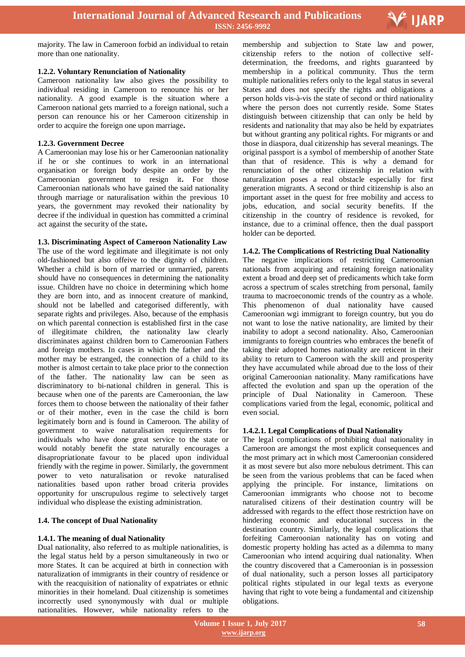

majority. The law in Cameroon forbid an individual to retain more than one nationality.

#### **1.2.2. Voluntary Renunciation of Nationality**

Cameroon nationality law also gives the possibility to individual residing in Cameroon to renounce his or her nationality. A good example is the situation where a Cameroon national gets married to a foreign national, such a person can renounce his or her Cameroon citizenship in order to acquire the foreign one upon marriage**.**

## **1.2.3. Government Decree**

A Cameroonian may lose his or her Cameroonian nationality if he or she continues to work in an international organisation or foreign body despite an order by the Cameroonian government to resign it**.** For those Cameroonian nationals who have gained the said nationality through marriage or naturalisation within the previous 10 years, the government may revoked their nationality by decree if the individual in question has committed a criminal act against the security of the state**.**

### **1.3. Discriminating Aspect of Cameroon Nationality Law**

The use of the word legitimate and illegitimate is not only old-fashioned but also offeive to the dignity of children. Whether a child is born of married or unmarried, parents should have no consequences in determining the nationality issue. Children have no choice in determining which home they are born into, and as innocent creature of mankind, should not be labelled and categorised differently, with separate rights and privileges. Also, because of the emphasis on which parental connection is established first in the case of illegitimate children, the nationality law clearly discriminates against children born to Cameroonian Fathers and foreign mothers. In cases in which the father and the mother may be estranged, the connection of a child to its mother is almost certain to take place prior to the connection of the father. The nationality law can be seen as discriminatory to bi-national children in general. This is because when one of the parents are Cameroonian, the law forces them to choose between the nationality of their father or of their mother, even in the case the child is born legitimately born and is found in Cameroon. The ability of government to waive naturalisation requirements for individuals who have done great service to the state or would notably benefit the state naturally encourages a disapropriationate favour to be placed upon individual friendly with the regime in power. Similarly, the government power to veto naturalisation or revoke naturalised nationalities based upon rather broad criteria provides opportunity for unscrupulous regime to selectively target individual who displease the existing administration.

# **1.4. The concept of Dual Nationality**

# **1.4.1. The meaning of dual Nationality**

Dual nationality, also referred to as multiple nationalities, is the legal status held by a person simultaneously in two or more States. It can be acquired at birth in connection with naturalization of immigrants in their country of residence or with the reacquisition of nationality of expatriates or ethnic minorities in their homeland. Dual citizenship is sometimes incorrectly used synonymously with dual or multiple nationalities. However, while nationality refers to the

 membership and subjection to State law and power, citizenship refers to the notion of collective selfdetermination, the freedoms, and rights guaranteed by membership in a political community. Thus the term multiple nationalities refers only to the legal status in several States and does not specify the rights and obligations a person holds vis-à-vis the state of second or third nationality where the person does not currently reside. Some States distinguish between citizenship that can only be held by residents and nationality that may also be held by expatriates but without granting any political rights. For migrants or and those in diaspora, dual citizenship has several meanings. The original passport is a symbol of membership of another State than that of residence. This is why a demand for renunciation of the other citizenship in relation with naturalization poses a real obstacle especially for first generation migrants. A second or third citizenship is also an important asset in the quest for free mobility and access to jobs, education, and social security benefits. If the citizenship in the country of residence is revoked, for instance, due to a criminal offence, then the dual passport holder can be deported.

## **1.4.2. The Complications of Restricting Dual Nationality**

The negative implications of restricting Cameroonian nationals from acquiring and retaining foreign nationality extent a broad and deep set of predicaments which take form across a spectrum of scales stretching from personal, family trauma to macroeconomic trends of the country as a whole. This phenomenon of dual nationality have caused Cameroonian wgi immigrant to foreign country, but you do not want to lose the native nationality, are limited by their inability to adopt a second nationality. Also, Cameroonian immigrants to foreign countries who embraces the benefit of taking their adopted homes nationality are reticent in their ability to return to Cameroon with the skill and prosperity they have accumulated while abroad due to the loss of their original Cameroonian nationality. Many ramifications have affected the evolution and span up the operation of the principle of Dual Nationality in Cameroon. These complications varied from the legal, economic, political and even social.

#### **1.4.2.1. Legal Complications of Dual Nationality**

The legal complications of prohibiting dual nationality in Cameroon are amongst the most explicit consequences and the most primary act in which most Cameroonian considered it as most severe but also more nebulous detriment. This can be seen from the various problems that can be faced when applying the principle. For instance, limitations on Cameroonian immigrants who choose not to become naturalised citizens of their destination country will be addressed with regards to the effect those restriction have on hindering economic and educational success in the destination country. Similarly, the legal complications that forfeiting Cameroonian nationality has on voting and domestic property holding has acted as a dilemma to many Cameroonian who intend acquiring dual nationality. When the country discovered that a Cameroonian is in possession of dual nationality, such a person losses all participatory political rights stipulated in our legal texts as everyone having that right to vote being a fundamental and citizenship obligations.

 **Volume 1 Issue 1, July 2017 www.ijarp.org**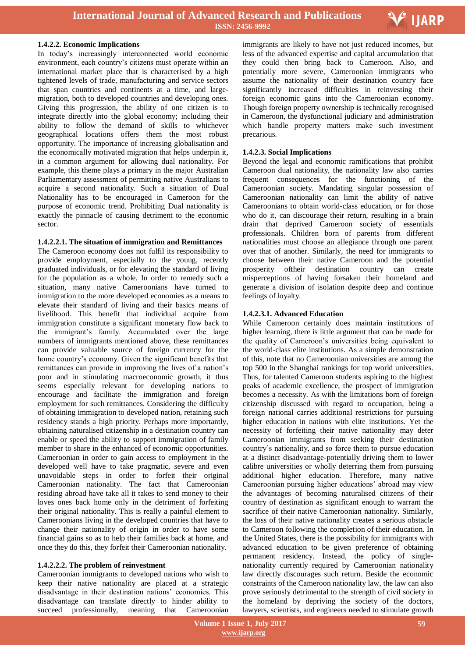

#### **1.4.2.2. Economic Implications**

In today"s increasingly interconnected world economic environment, each country"s citizens must operate within an international market place that is characterised by a high tightened levels of trade, manufacturing and service sectors that span countries and continents at a time, and largemigration, both to developed countries and developing ones. Giving this progression, the ability of one citizen is to integrate directly into the global economy; including their ability to follow the demand of skills to whichever geographical locations offers them the most robust opportunity. The importance of increasing globalisation and the economically motivated migration that helps underpin it, in a common argument for allowing dual nationality. For example, this theme plays a primary in the major Australian Parliamentary assessment of permitting native Australians to acquire a second nationality. Such a situation of Dual Nationality has to be encouraged in Cameroon for the purpose of economic trend. Prohibiting Dual nationality is exactly the pinnacle of causing detriment to the economic sector.

#### **1.4.2.2.1. The situation of immigration and Remittances**

The Cameroon economy does not fulfil its responsibility to provide employment, especially to the young, recently graduated individuals, or for elevating the standard of living for the population as a whole. In order to remedy such a situation, many native Cameroonians have turned to immigration to the more developed economies as a means to elevate their standard of living and their basics means of livelihood. This benefit that individual acquire from immigration constitute a significant monetary flow back to the immigrant"s family. Accumulated over the large numbers of immigrants mentioned above, these remittances can provide valuable source of foreign currency for the home country's economy. Given the significant benefits that remittances can provide in improving the lives of a nation"s poor and in stimulating macroeconomic growth, it thus seems especially relevant for developing nations to encourage and facilitate the immigration and foreign employment for such remittances. Considering the difficulty of obtaining immigration to developed nation, retaining such residency stands a high priority. Perhaps more importantly, obtaining naturalised citizenship in a destination country can enable or speed the ability to support immigration of family member to share in the enhanced of economic opportunities. Cameroonian in order to gain access to employment in the developed well have to take pragmatic, severe and even unavoidable steps in order to forfeit their original Cameroonian nationality. The fact that Cameroonian residing abroad have take all it takes to send money to their loves ones back home only in the detriment of forfeiting their original nationality. This is really a painful element to Cameroonians living in the developed countries that have to change their nationality of origin in order to have some financial gains so as to help their families back at home, and once they do this, they forfeit their Cameroonian nationality.

#### **1.4.2.2.2. The problem of reinvestment**

Cameroonian immigrants to developed nations who wish to keep their native nationality are placed at a strategic disadvantage in their destination nations' economies. This disadvantage can translate directly to hinder ability to succeed professionally, meaning that Cameroonian

 immigrants are likely to have not just reduced incomes, but less of the advanced expertise and capital accumulation that they could then bring back to Cameroon. Also, and potentially more severe, Cameroonian immigrants who assume the nationality of their destination country face significantly increased difficulties in reinvesting their foreign economic gains into the Cameroonian economy. Though foreign property ownership is technically recognised in Cameroon, the dysfunctional judiciary and administration which handle property matters make such investment precarious.

### **1.4.2.3. Social Implications**

Beyond the legal and economic ramifications that prohibit Cameroon dual nationality, the nationality law also carries frequent consequences for the functioning of the Cameroonian society. Mandating singular possession of Cameroonian nationality can limit the ability of native Cameroonians to obtain world-class education, or for those who do it, can discourage their return, resulting in a brain drain that deprived Cameroon society of essentials professionals. Children born of parents from different nationalities must choose an allegiance through one parent over that of another. Similarly, the need for immigrants to choose between their native Cameroon and the potential prosperity oftheir destination country can create misperceptions of having forsaken their homeland and generate a division of isolation despite deep and continue feelings of loyalty.

### **1.4.2.3.1. Advanced Education**

While Cameroon certainly does maintain institutions of higher learning, there is little argument that can be made for the quality of Cameroon"s universities being equivalent to the world-class elite institutions. As a simple demonstration of this, note that no Cameroonian universities are among the top 500 in the Shanghai rankings for top world universities. Thus, for talented Cameroon students aspiring to the highest peaks of academic excellence, the prospect of immigration becomes a necessity. As with the limitations born of foreign citizenship discussed with regard to occupation, being a foreign national carries additional restrictions for pursuing higher education in nations with elite institutions. Yet the necessity of forfeiting their native nationality may deter Cameroonian immigrants from seeking their destination country"s nationality, and so force them to pursue education at a distinct disadvantage-potentially driving them to lower calibre universities or wholly deterring them from pursuing additional higher education. Therefore, many native Cameroonian pursuing higher educations" abroad may view the advantages of becoming naturalised citizens of their country of destination as significant enough to warrant the sacrifice of their native Cameroonian nationality. Similarly, the loss of their native nationality creates a serious obstacle to Cameroon following the completion of their education. In the United States, there is the possibility for immigrants with advanced education to be given preference of obtaining permanent residency. Instead, the policy of singlenationality currently required by Cameroonian nationality law directly discourages such return. Beside the economic constraints of the Cameroon nationality law, the law can also prove seriously detrimental to the strength of civil society in the homeland by depriving the society of the doctors, lawyers, scientists, and engineers needed to stimulate growth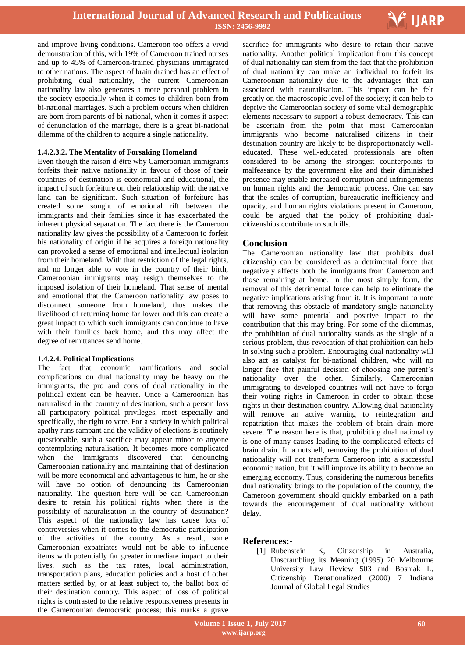

and improve living conditions. Cameroon too offers a vivid demonstration of this, with 19% of Cameroon trained nurses and up to 45% of Cameroon-trained physicians immigrated to other nations. The aspect of brain drained has an effect of prohibiting dual nationality, the current Cameroonian nationality law also generates a more personal problem in the society especially when it comes to children born from bi-national marriages. Such a problem occurs when children are born from parents of bi-national, when it comes it aspect of denunciation of the marriage, there is a great bi-national dilemma of the children to acquire a single nationality.

# **1.4.2.3.2. The Mentality of Forsaking Homeland**

Even though the raison d"être why Cameroonian immigrants forfeits their native nationality in favour of those of their countries of destination is economical and educational, the impact of such forfeiture on their relationship with the native land can be significant. Such situation of forfeiture has created some sought of emotional rift between the immigrants and their families since it has exacerbated the inherent physical separation. The fact there is the Cameroon nationality law gives the possibility of a Cameroon to forfeit his nationality of origin if he acquires a foreign nationality can provoked a sense of emotional and intellectual isolation from their homeland. With that restriction of the legal rights, and no longer able to vote in the country of their birth, Cameroonian immigrants may resign themselves to the imposed isolation of their homeland. That sense of mental and emotional that the Cameroon nationality law poses to disconnect someone from homeland, thus makes the livelihood of returning home far lower and this can create a great impact to which such immigrants can continue to have with their families back home, and this may affect the degree of remittances send home.

# **1.4.2.4. Political Implications**

The fact that economic ramifications and social complications on dual nationality may be heavy on the immigrants, the pro and cons of dual nationality in the political extent can be heavier. Once a Cameroonian has naturalised in the country of destination, such a person loss all participatory political privileges, most especially and specifically, the right to vote. For a society in which political apathy runs rampant and the validity of elections is routinely questionable, such a sacrifice may appear minor to anyone contemplating naturalisation. It becomes more complicated when the immigrants discovered that denouncing Cameroonian nationality and maintaining that of destination will be more economical and advantageous to him, he or she will have no option of denouncing its Cameroonian nationality. The question here will be can Cameroonian desire to retain his political rights when there is the possibility of naturalisation in the country of destination? This aspect of the nationality law has cause lots of controversies when it comes to the democratic participation of the activities of the country. As a result, some Cameroonian expatriates would not be able to influence items with potentially far greater immediate impact to their lives, such as the tax rates, local administration, transportation plans, education policies and a host of other matters settled by, or at least subject to, the ballot box of their destination country. This aspect of loss of political rights is contrasted to the relative responsiveness presents in the Cameroonian democratic process; this marks a grave

 sacrifice for immigrants who desire to retain their native nationality. Another political implication from this concept of dual nationality can stem from the fact that the prohibition of dual nationality can make an individual to forfeit its Cameroonian nationality due to the advantages that can associated with naturalisation. This impact can be felt greatly on the macroscopic level of the society; it can help to deprive the Cameroonian society of some vital demographic elements necessary to support a robust democracy. This can be ascertain from the point that most Cameroonian immigrants who become naturalised citizens in their destination country are likely to be disproportionately welleducated. These well-educated professionals are often considered to be among the strongest counterpoints to malfeasance by the government elite and their diminished presence may enable increased corruption and infringements on human rights and the democratic process. One can say that the scales of corruption, bureaucratic inefficiency and opacity, and human rights violations present in Cameroon, could be argued that the policy of prohibiting dualcitizenships contribute to such ills.

# **Conclusion**

The Cameroonian nationality law that prohibits dual citizenship can be considered as a detrimental force that negatively affects both the immigrants from Cameroon and those remaining at home. In the most simply form, the removal of this detrimental force can help to eliminate the negative implications arising from it. It is important to note that removing this obstacle of mandatory single nationality will have some potential and positive impact to the contribution that this may bring. For some of the dilemmas, the prohibition of dual nationality stands as the single of a serious problem, thus revocation of that prohibition can help in solving such a problem. Encouraging dual nationality will also act as catalyst for bi-national children, who will no longer face that painful decision of choosing one parent's nationality over the other. Similarly, Cameroonian immigrating to developed countries will not have to forgo their voting rights in Cameroon in order to obtain those rights in their destination country. Allowing dual nationality will remove an active warning to reintegration and repatriation that makes the problem of brain drain more severe. The reason here is that, prohibiting dual nationality is one of many causes leading to the complicated effects of brain drain. In a nutshell, removing the prohibition of dual nationality will not transform Cameroon into a successful economic nation, but it will improve its ability to become an emerging economy. Thus, considering the numerous benefits dual nationality brings to the population of the country, the Cameroon government should quickly embarked on a path towards the encouragement of dual nationality without delay.

# **References:-**

[1] Rubenstein K, Citizenship in Australia, Unscrambling its Meaning (1995) 20 Melbourne University Law Review 503 and Bosniak L, Citizenship Denationalized (2000) 7 Indiana Journal of Global Legal Studies